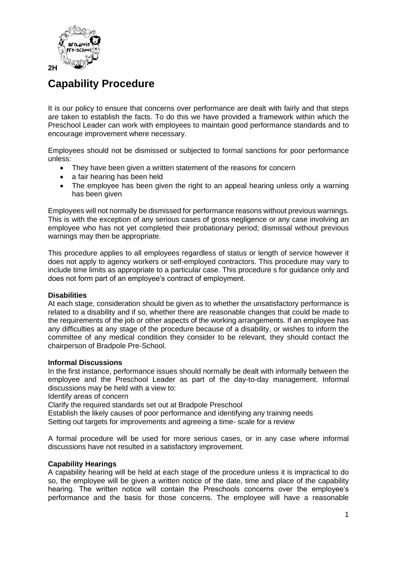

# **Capability Procedure**

It is our policy to ensure that concerns over performance are dealt with fairly and that steps are taken to establish the facts. To do this we have provided a framework within which the Preschool Leader can work with employees to maintain good performance standards and to encourage improvement where necessary.

Employees should not be dismissed or subjected to formal sanctions for poor performance unless:

- They have been given a written statement of the reasons for concern
- a fair hearing has been held
- The employee has been given the right to an appeal hearing unless only a warning has been given

Employees will not normally be dismissed for performance reasons without previous warnings. This is with the exception of any serious cases of gross negligence or any case involving an employee who has not yet completed their probationary period; dismissal without previous warnings may then be appropriate.

This procedure applies to all employees regardless of status or length of service however it does not apply to agency workers or self-employed contractors. This procedure may vary to include time limits as appropriate to a particular case. This procedure s for guidance only and does not form part of an employee's contract of employment.

## **Disabilities**

At each stage, consideration should be given as to whether the unsatisfactory performance is related to a disability and if so, whether there are reasonable changes that could be made to the requirements of the job or other aspects of the working arrangements. If an employee has any difficulties at any stage of the procedure because of a disability, or wishes to inform the committee of any medical condition they consider to be relevant, they should contact the chairperson of Bradpole Pre-School.

## **Informal Discussions**

In the first instance, performance issues should normally be dealt with informally between the employee and the Preschool Leader as part of the day-to-day management. Informal discussions may be held with a view to:

Identify areas of concern

Clarify the required standards set out at Bradpole Preschool

Establish the likely causes of poor performance and identifying any training needs Setting out targets for improvements and agreeing a time-scale for a review

A formal procedure will be used for more serious cases, or in any case where informal discussions have not resulted in a satisfactory improvement.

## **Capability Hearings**

A capability hearing will be held at each stage of the procedure unless it is impractical to do so, the employee will be given a written notice of the date, time and place of the capability hearing. The written notice will contain the Preschools concerns over the employee's performance and the basis for those concerns. The employee will have a reasonable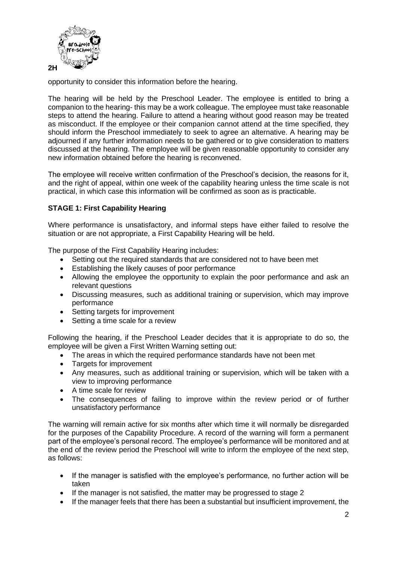

opportunity to consider this information before the hearing.

The hearing will be held by the Preschool Leader. The employee is entitled to bring a companion to the hearing- this may be a work colleague. The employee must take reasonable steps to attend the hearing. Failure to attend a hearing without good reason may be treated as misconduct. If the employee or their companion cannot attend at the time specified, they should inform the Preschool immediately to seek to agree an alternative. A hearing may be adjourned if any further information needs to be gathered or to give consideration to matters discussed at the hearing. The employee will be given reasonable opportunity to consider any new information obtained before the hearing is reconvened.

The employee will receive written confirmation of the Preschool's decision, the reasons for it, and the right of appeal, within one week of the capability hearing unless the time scale is not practical, in which case this information will be confirmed as soon as is practicable.

## **STAGE 1: First Capability Hearing**

Where performance is unsatisfactory, and informal steps have either failed to resolve the situation or are not appropriate, a First Capability Hearing will be held.

The purpose of the First Capability Hearing includes:

- Setting out the required standards that are considered not to have been met
- Establishing the likely causes of poor performance
- Allowing the employee the opportunity to explain the poor performance and ask an relevant questions
- Discussing measures, such as additional training or supervision, which may improve performance
- Setting targets for improvement
- Setting a time scale for a review

Following the hearing, if the Preschool Leader decides that it is appropriate to do so, the employee will be given a First Written Warning setting out:

- The areas in which the required performance standards have not been met
- Targets for improvement
- Any measures, such as additional training or supervision, which will be taken with a view to improving performance
- A time scale for review
- The consequences of failing to improve within the review period or of further unsatisfactory performance

The warning will remain active for six months after which time it will normally be disregarded for the purposes of the Capability Procedure. A record of the warning will form a permanent part of the employee's personal record. The employee's performance will be monitored and at the end of the review period the Preschool will write to inform the employee of the next step, as follows:

- If the manager is satisfied with the employee's performance, no further action will be taken
- If the manager is not satisfied, the matter may be progressed to stage 2
- If the manager feels that there has been a substantial but insufficient improvement, the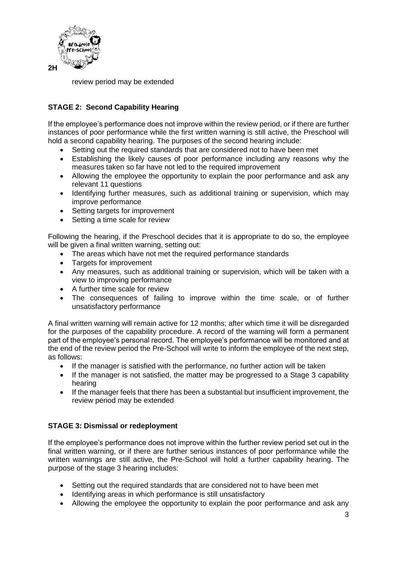

review period may be extended

## **STAGE 2: Second Capability Hearing**

If the employee's performance does not improve within the review period, or if there are further instances of poor performance while the first written warning is still active, the Preschool will hold a second capability hearing. The purposes of the second hearing include:

- Setting out the required standards that are considered not to have been met
- Establishing the likely causes of poor performance including any reasons why the measures taken so far have not led to the required improvement
- Allowing the employee the opportunity to explain the poor performance and ask any relevant 11 questions
- Identifying further measures, such as additional training or supervision, which may improve performance
- Setting targets for improvement
- Setting a time scale for review

Following the hearing, if the Preschool decides that it is appropriate to do so, the employee will be given a final written warning, setting out:

- The areas which have not met the required performance standards
- Targets for improvement
- Any measures, such as additional training or supervision, which will be taken with a view to improving performance
- A further time scale for review
- The consequences of failing to improve within the time scale, or of further unsatisfactory performance

A final written warning will remain active for 12 months; after which time it will be disregarded for the purposes of the capability procedure. A record of the warning will form a permanent part of the employee's personal record. The employee's performance will be monitored and at the end of the review period the Pre-School will write to inform the employee of the next step, as follows:

- If the manager is satisfied with the performance, no further action will be taken
- If the manager is not satisfied, the matter may be progressed to a Stage 3 capability hearing
- If the manager feels that there has been a substantial but insufficient improvement, the review period may be extended

## **STAGE 3: Dismissal or redeployment**

If the employee's performance does not improve within the further review period set out in the final written warning, or if there are further serious instances of poor performance while the written warnings are still active, the Pre-School will hold a further capability hearing. The purpose of the stage 3 hearing includes:

- Setting out the required standards that are considered not to have been met
- Identifying areas in which performance is still unsatisfactory
- Allowing the employee the opportunity to explain the poor performance and ask any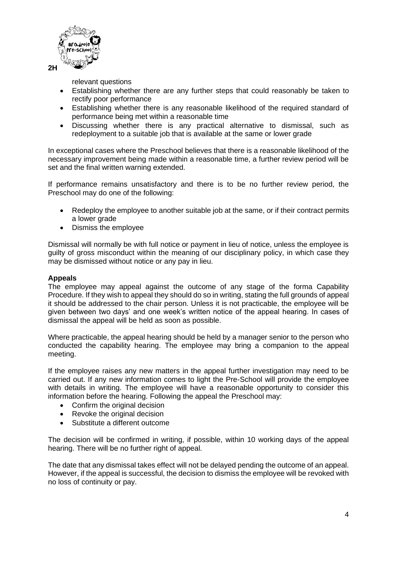

relevant questions

- Establishing whether there are any further steps that could reasonably be taken to rectify poor performance
- Establishing whether there is any reasonable likelihood of the required standard of performance being met within a reasonable time
- Discussing whether there is any practical alternative to dismissal, such as redeployment to a suitable job that is available at the same or lower grade

In exceptional cases where the Preschool believes that there is a reasonable likelihood of the necessary improvement being made within a reasonable time, a further review period will be set and the final written warning extended.

If performance remains unsatisfactory and there is to be no further review period, the Preschool may do one of the following:

- Redeploy the employee to another suitable job at the same, or if their contract permits a lower grade
- Dismiss the employee

Dismissal will normally be with full notice or payment in lieu of notice, unless the employee is guilty of gross misconduct within the meaning of our disciplinary policy, in which case they may be dismissed without notice or any pay in lieu.

#### **Appeals**

The employee may appeal against the outcome of any stage of the forma Capability Procedure. If they wish to appeal they should do so in writing, stating the full grounds of appeal it should be addressed to the chair person. Unless it is not practicable, the employee will be given between two days' and one week's written notice of the appeal hearing. In cases of dismissal the appeal will be held as soon as possible.

Where practicable, the appeal hearing should be held by a manager senior to the person who conducted the capability hearing. The employee may bring a companion to the appeal meeting.

If the employee raises any new matters in the appeal further investigation may need to be carried out. If any new information comes to light the Pre-School will provide the employee with details in writing. The employee will have a reasonable opportunity to consider this information before the hearing. Following the appeal the Preschool may:

- Confirm the original decision
- Revoke the original decision
- Substitute a different outcome

The decision will be confirmed in writing, if possible, within 10 working days of the appeal hearing. There will be no further right of appeal.

The date that any dismissal takes effect will not be delayed pending the outcome of an appeal. However, if the appeal is successful, the decision to dismiss the employee will be revoked with no loss of continuity or pay.